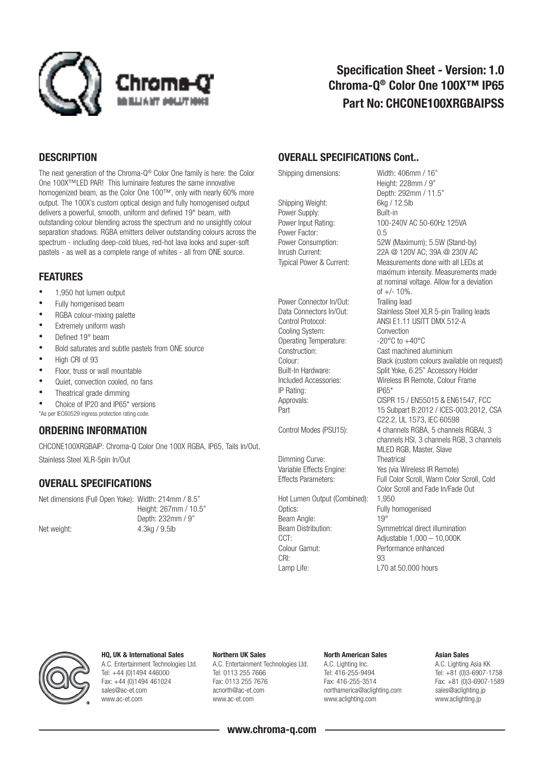

# Specification Sheet - Version: 1.0 Chroma-Q® Color One 100X™ IP65 Part No: CHCONE100XRGBAIPSS

### **DESCRIPTION**

The next generation of the Chroma-Q® Color One family is here: the Color One 100X™LED PAR! This luminaire features the same innovative homogenized beam, as the Color One 100™, only with nearly 60% more output. The 100X's custom optical design and fully homogenised output delivers a powerful, smooth, uniform and defined 19° beam, with outstanding colour blending across the spectrum and no unsightly colour separation shadows. RGBA emitters deliver outstanding colours across the spectrum - including deep-cold blues, red-hot lava looks and super-soft pastels - as well as a complete range of whites - all from ONE source.

### FEATURES

- 1,950 hot lumen output
- Fully homgenised beam
- RGBA colour-mixing palette
- Extremely uniform wash
- Defined 19° beam
- Bold saturates and subtle pastels from ONE source
- High CRI of 93
- Floor, truss or wall mountable
- Quiet, convection cooled, no fans
- Theatrical grade dimming
- Choice of IP20 and IP65\* versions \*As per IEC60529 ingress protection rating code.

### ORDERING INFORMATION

CHCONE100XRGBAIP: Chroma-Q Color One 100X RGBA, IP65, Tails In/Out, Stainless Steel XLR-5pin In/Out

### OVERALL SPECIFICATIONS

Net dimensions (Full Open Yoke): Width: 214mm / 8.5" Depth: 232mm / 9"

Height: 267mm / 10.5" Net weight: 4.3kg / 9.5lb

### OVERALL SPECIFICATIONS Cont..

Shipping Weight: 6kg / 12.5lb Power Supply: Built-in Power Factor: 0.5<br>Power Consumption: 52V

Power Connector In/Out: Trailing lead<br>Data Connectors In/Out: Stainless Ste Cooling System: Convection<br>Operating Temperature:  $20^{\circ}$ C to +40°C Operating Temperature: IP Rating: IP65\*

Dimming Curve: Theatrical

Hot Lumen Output (Combined): 1,950 Optics: Fully homogenised Beam Angle: 19°<br>Beam Distribution: 5000 CCT: <br>Colour Gamut: Colour Gamut: Performance enhanced Colour Gamut: Performance enhanced<br>
CPI: CRI: 93 Lamp Life: L70 at 50,000 hours

Shipping dimensions: Width: 406mm / 16" Height: 228mm / 9" Depth: 292mm / 11.5" Power Input Rating: 100-240V AC 50-60Hz 125VA 52W (Maximum); 5.5W (Stand-by) Inrush Current: 22A @ 120V AC; 39A @ 230V AC Typical Power & Current: Measurements done with all LEDs at maximum intensity. Measurements made at nominal voltage. Allow for a deviation of +/- 10%. Stainless Steel XLR 5-pin Trailing leads Control Protocol: ANSI E1.11 USITT DMX 512-A Construction: Cast machined aluminium Colour: Black (custom colours available on request)<br>
Built-In Hardware: Solit Yoke, 6.25" Accessory Holder Built-In Hardware: Split Yoke, 6.25" Accessory Holder<br>
Included Accessories: Wireless IR Remote. Colour Frame Wireless IR Remote, Colour Frame Approvals: CISPR 15 / EN55015 & EN61547, FCC Part 15 Subpart B:2012 / ICES-003:2012, CSA C22.2, UL 1573, IEC 60598 Control Modes (PSU15): 4 channels RGBA, 5 channels RGBAI, 3 channels HSI, 3 channels RGB, 3 channels MLED RGB, Master, Slave Variable Effects Engine: Yes (via Wireless IR Remote) Effects Parameters: Full Color Scroll, Warm Color Scroll, Cold Color Scroll and Fade In/Fade Out Symmetrical direct illumination



### HQ, UK & International Sales A.C. Entertainment Technologies Ltd. Tel: +44 (0)1494 446000

Fax: +44 (0)1494 461024 sales@ac-et.com www.ac-et.com

#### Northern UK Sales A.C. Entertainment Technologies Ltd. Tel: 0113 255 7666 Fax: 0113 255 7676 acnorth@ac-et.com

www.ac-et.com

### North American Sales

A.C. Lighting Inc. Tel: 416-255-9494 Fax: 416-255-3514 northamerica@aclighting.com www.aclighting.com

#### Asian Sales

A.C. Lighting Asia KK Tel: +81 (0)3-6907-1758 Fax: +81 (0)3-6907-1589 sales@aclighting.jp www.aclighting.jp

www.chroma-q.com